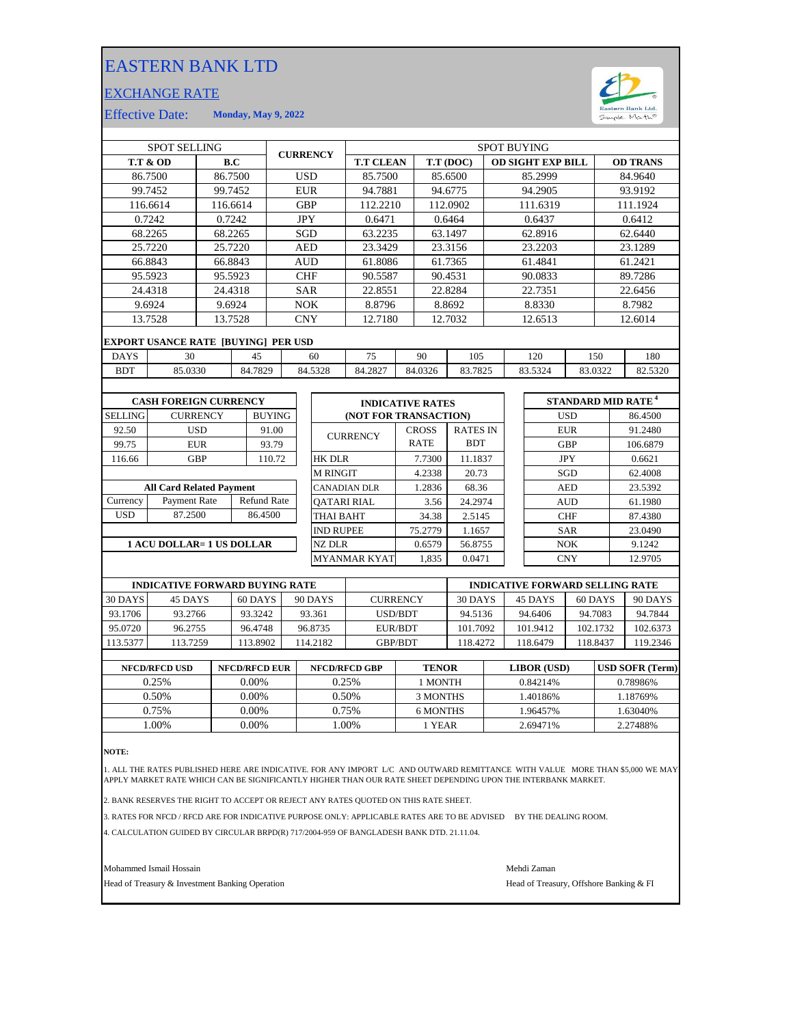## EASTERN BANK LTD

## EXCHANGE RATE



Effective Date: **Monday, May 9, 2022**

|                | <b>SPOT SELLING</b>                 |                 |          |               | <b>CURRENCY</b> |                 | <b>SPOT BUYING</b>      |  |              |                 |  |                          |            |     |                                      |
|----------------|-------------------------------------|-----------------|----------|---------------|-----------------|-----------------|-------------------------|--|--------------|-----------------|--|--------------------------|------------|-----|--------------------------------------|
|                | <b>T.T &amp; OD</b>                 |                 | B.C      |               |                 |                 | <b>T.T CLEAN</b>        |  |              | T.T (DOC)       |  | <b>OD SIGHT EXP BILL</b> |            |     | <b>OD TRANS</b>                      |
|                | 86.7500                             |                 | 86.7500  |               | <b>USD</b>      |                 | 85.7500                 |  |              | 85.6500         |  | 85.2999                  |            |     | 84.9640                              |
|                | 99.7452                             |                 | 99.7452  |               | <b>EUR</b>      |                 | 94.7881                 |  |              | 94.6775         |  | 94.2905                  |            |     | 93.9192                              |
|                | 116.6614                            |                 | 116.6614 |               | <b>GBP</b>      |                 | 112.2210                |  |              | 112.0902        |  | 111.6319                 |            |     | 111.1924                             |
|                | 0.7242                              |                 | 0.7242   |               | <b>JPY</b>      |                 | 0.6471                  |  |              | 0.6464          |  | 0.6437                   |            |     | 0.6412                               |
|                | 68.2265                             |                 | 68.2265  |               | SGD             |                 | 63.2235                 |  |              | 63.1497         |  | 62.8916                  |            |     | 62.6440                              |
|                | 25.7220                             |                 | 25.7220  |               | <b>AED</b>      |                 | 23.3429                 |  |              | 23.3156         |  | 23.2203                  |            |     | 23.1289                              |
|                | 66.8843                             |                 | 66.8843  |               | <b>AUD</b>      |                 | 61.8086                 |  |              | 61.7365         |  | 61.4841                  |            |     | 61.2421                              |
|                | 95.5923                             |                 | 95.5923  |               | <b>CHF</b>      |                 | 90.5587                 |  |              | 90.4531         |  | 90.0833                  |            |     | 89.7286                              |
|                | 24.4318                             |                 | 24.4318  |               | <b>SAR</b>      |                 | 22.8551                 |  |              | 22.8284         |  | 22.7351                  |            |     | 22.6456                              |
|                | 9.6924                              |                 | 9.6924   |               | NOK             |                 | 8.8796                  |  |              | 8.8692          |  | 8.8330                   |            |     | 8.7982                               |
|                | 13.7528                             |                 | 13.7528  |               | <b>CNY</b>      |                 | 12.7180                 |  |              | 12.7032         |  | 12.6513                  |            |     | 12.6014                              |
|                | EXPORT USANCE RATE [BUYING] PER USD |                 |          |               |                 |                 |                         |  |              |                 |  |                          |            |     |                                      |
| <b>DAYS</b>    | 30                                  |                 | 45       |               |                 | 60              | 75                      |  | 90           | 105             |  | 120                      |            | 150 | 180                                  |
| <b>BDT</b>     | 85.0330                             |                 | 84.7829  |               |                 | 84.5328         | 84.2827                 |  | 84.0326      | 83.7825         |  | 83.5324                  | 83.0322    |     | 82.5320                              |
|                |                                     |                 |          |               |                 |                 |                         |  |              |                 |  |                          |            |     |                                      |
|                | <b>CASH FOREIGN CURRENCY</b>        |                 |          |               |                 |                 | <b>INDICATIVE RATES</b> |  |              |                 |  |                          |            |     | <b>STANDARD MID RATE<sup>4</sup></b> |
| <b>SELLING</b> |                                     | <b>CURRENCY</b> |          | <b>BUYING</b> |                 |                 | (NOT FOR TRANSACTION)   |  |              |                 |  |                          | <b>USD</b> |     | 86.4500                              |
| 92.50          |                                     | <b>USD</b>      |          | 91.00         |                 |                 | <b>CURRENCY</b>         |  | <b>CROSS</b> | <b>RATES IN</b> |  |                          | <b>EUR</b> |     | 91.2480                              |
| 99.75          |                                     | <b>EUR</b>      |          | 93.79         |                 |                 |                         |  | <b>RATE</b>  | <b>BDT</b>      |  |                          | <b>GBP</b> |     | 106.6879                             |
| 116.66         |                                     | <b>GBP</b>      |          | 110.72        |                 | <b>HK DLR</b>   |                         |  | 7.7300       | 11.1837         |  |                          | <b>JPY</b> |     | 0.6621                               |
|                |                                     |                 |          |               |                 | <b>M RINGIT</b> |                         |  | 4.2338       | 20.73           |  |                          | SGD        |     | 62.4008                              |
|                | <b>All Card Related Payment</b>     |                 |          |               |                 |                 | <b>CANADIAN DLR</b>     |  | 1.2836       | 68.36           |  |                          | <b>AED</b> |     | 23.5392                              |

USD Payment Rate Refund Rate 86.4500 **Currency** 

**1 ACU DOLLAR= 1 US DOLLAR**

|                     | <b>INDICATIVE RATES</b>      |                               |  |  |  |
|---------------------|------------------------------|-------------------------------|--|--|--|
|                     | <b>(NOT FOR TRANSACTION)</b> |                               |  |  |  |
| <b>CURRENCY</b>     | <b>CROSS</b><br><b>RATE</b>  | <b>RATES IN</b><br><b>BDT</b> |  |  |  |
| <b>HK DLR</b>       | 7.7300                       | 11.1837                       |  |  |  |
| <b>M RINGIT</b>     | 4.2338                       | 20.73                         |  |  |  |
| <b>CANADIAN DLR</b> | 1.2836                       | 68.36                         |  |  |  |
| <b>OATARI RIAL</b>  | 3.56                         | 24.2974                       |  |  |  |
| <b>THAI BAHT</b>    | 34.38                        | 2.5145                        |  |  |  |
| <b>IND RUPEE</b>    | 75.2779                      | 1.1657                        |  |  |  |
| NZ DLR              | 0.6579                       | 56.8755                       |  |  |  |
| <b>MYANMAR KYAT</b> | 1.835                        | 0.0471                        |  |  |  |

|          | <b>INDICATIVE FORWARD BUYING RATE</b> |          |          |                 | <b>INDICATIVE FORWARD SELLING RATE</b> |          |          |          |
|----------|---------------------------------------|----------|----------|-----------------|----------------------------------------|----------|----------|----------|
| 30 DAYS  | 45 DAYS                               | 60 DAYS  | 90 DAYS  | <b>CURRENCY</b> | 30 DAYS                                | 45 DAYS  | 60 DAYS  | 90 DAYS  |
| 93.1706  | 93.2766                               | 93.3242  | 93.361   | <b>USD/BDT</b>  | 94.5136                                | 94.6406  | 94.7083  | 94.7844  |
| 95.0720  | 96.2755                               | 96.4748  | 96.8735  | EUR/BDT         | 101.7092                               | 101.9412 | 102.1732 | 102.6373 |
| 113.5377 | 113.7259                              | 113.8902 | 114.2182 | <b>GBP/BDT</b>  | 18.4272                                | 118.6479 | 118.8437 | 119.2346 |
|          |                                       |          |          |                 |                                        |          |          |          |

| <b>NFCD/RFCD USD</b> | <b>NFCD/RFCD EUR</b> | <b>NFCD/RFCD GBP</b> | <b>TENOR</b> | <b>LIBOR</b> (USD) | <b>USD SOFR (Term)</b> |
|----------------------|----------------------|----------------------|--------------|--------------------|------------------------|
| 0.25%                | 0.00%                | 0.25%                | 1 MONTH      | 0.84214\%          | 0.78986%               |
| 0.50%                | 0.00%                | 0.50%                | 3 MONTHS     | .40186%            | 1.18769%               |
| 0.75%                | 0.00%                | 0.75%                | 6 MONTHS     | .96457%            | .63040%                |
| .00%                 | 0.00%                | .00%                 | l YEAR       | 2.69471%           | 2.27488%               |
|                      |                      |                      |              |                    |                        |

**NOTE:**

1. ALL THE RATES PUBLISHED HERE ARE INDICATIVE. FOR ANY IMPORT L/C AND OUTWARD REMITTANCE WITH VALUE MORE THAN \$5,000 WE MAY APPLY MARKET RATE WHICH CAN BE SIGNIFICANTLY HIGHER THAN OUR RATE SHEET DEPENDING UPON THE INTERBANK MARKET.

2. BANK RESERVES THE RIGHT TO ACCEPT OR REJECT ANY RATES QUOTED ON THIS RATE SHEET.

3. RATES FOR NFCD / RFCD ARE FOR INDICATIVE PURPOSE ONLY: APPLICABLE RATES ARE TO BE ADVISED BY THE DEALING ROOM.

4. CALCULATION GUIDED BY CIRCULAR BRPD(R) 717/2004-959 OF BANGLADESH BANK DTD. 21.11.04.

Mohammed Ismail Hossain Mehdi Zaman

Head of Treasury & Investment Banking Operation **Head of Treasury, Offshore Banking & FI** 

CNY 12.9705

61.1980

87.4380

9.1242 23.0490

AUD

SAR

 $NOK$ 

CHF